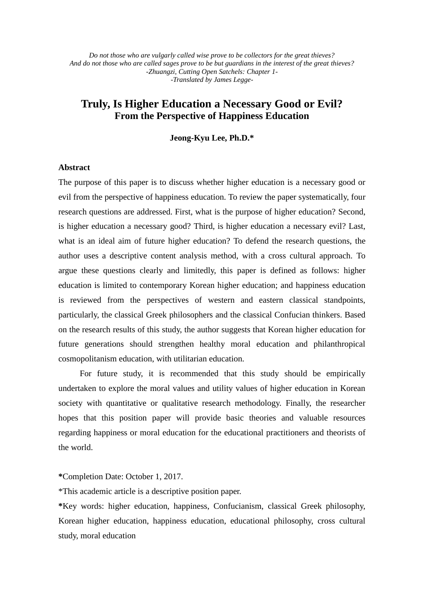*Do not those who are vulgarly called wise prove to be collectors for the great thieves? And do not those who are called sages prove to be but guardians in the interest of the great thieves? -Zhuangzi, Cutting Open Satchels: Chapter 1- -Translated by James Legge-*

# **Truly, Is Higher Education a Necessary Good or Evil? From the Perspective of Happiness Education**

### **Jeong-Kyu Lee, Ph.D.\***

## **Abstract**

The purpose of this paper is to discuss whether higher education is a necessary good or evil from the perspective of happiness education. To review the paper systematically, four research questions are addressed. First, what is the purpose of higher education? Second, is higher education a necessary good? Third, is higher education a necessary evil? Last, what is an ideal aim of future higher education? To defend the research questions, the author uses a descriptive content analysis method, with a cross cultural approach. To argue these questions clearly and limitedly, this paper is defined as follows: higher education is limited to contemporary Korean higher education; and happiness education is reviewed from the perspectives of western and eastern classical standpoints, particularly, the classical Greek philosophers and the classical Confucian thinkers. Based on the research results of this study, the author suggests that Korean higher education for future generations should strengthen healthy moral education and philanthropical cosmopolitanism education, with utilitarian education.

For future study, it is recommended that this study should be empirically undertaken to explore the moral values and utility values of higher education in Korean society with quantitative or qualitative research methodology. Finally, the researcher hopes that this position paper will provide basic theories and valuable resources regarding happiness or moral education for the educational practitioners and theorists of the world.

**\***Completion Date: October 1, 2017.

\*This academic article is a descriptive position paper.

**\***Key words: higher education, happiness, Confucianism, classical Greek philosophy, Korean higher education, happiness education, educational philosophy, cross cultural study, moral education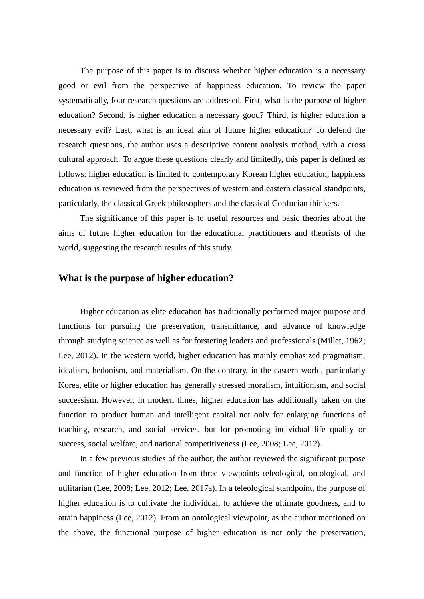The purpose of this paper is to discuss whether higher education is a necessary good or evil from the perspective of happiness education. To review the paper systematically, four research questions are addressed. First, what is the purpose of higher education? Second, is higher education a necessary good? Third, is higher education a necessary evil? Last, what is an ideal aim of future higher education? To defend the research questions, the author uses a descriptive content analysis method, with a cross cultural approach. To argue these questions clearly and limitedly, this paper is defined as follows: higher education is limited to contemporary Korean higher education; happiness education is reviewed from the perspectives of western and eastern classical standpoints, particularly, the classical Greek philosophers and the classical Confucian thinkers.

The significance of this paper is to useful resources and basic theories about the aims of future higher education for the educational practitioners and theorists of the world, suggesting the research results of this study.

# **What is the purpose of higher education?**

Higher education as elite education has traditionally performed major purpose and functions for pursuing the preservation, transmittance, and advance of knowledge through studying science as well as for forstering leaders and professionals (Millet, 1962; Lee, 2012). In the western world, higher education has mainly emphasized pragmatism, idealism, hedonism, and materialism. On the contrary, in the eastern world, particularly Korea, elite or higher education has generally stressed moralism, intuitionism, and social successism. However, in modern times, higher education has additionally taken on the function to product human and intelligent capital not only for enlarging functions of teaching, research, and social services, but for promoting individual life quality or success, social welfare, and national competitiveness (Lee, 2008; Lee, 2012).

In a few previous studies of the author, the author reviewed the significant purpose and function of higher education from three viewpoints teleological, ontological, and utilitarian (Lee, 2008; Lee, 2012; Lee, 2017a). In a teleological standpoint, the purpose of higher education is to cultivate the individual, to achieve the ultimate goodness, and to attain happiness (Lee, 2012). From an ontological viewpoint, as the author mentioned on the above, the functional purpose of higher education is not only the preservation,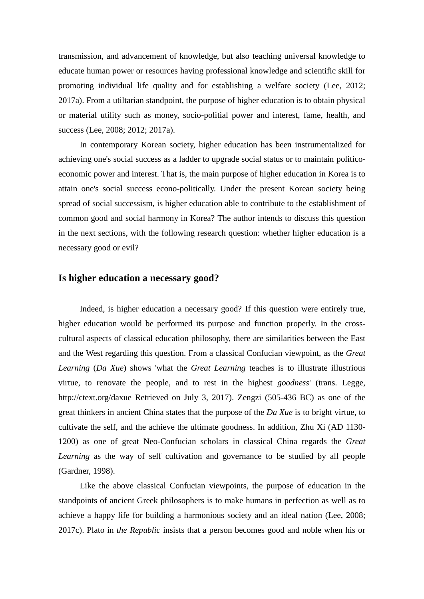transmission, and advancement of knowledge, but also teaching universal knowledge to educate human power or resources having professional knowledge and scientific skill for promoting individual life quality and for establishing a welfare society (Lee, 2012; 2017a). From a utiltarian standpoint, the purpose of higher education is to obtain physical or material utility such as money, socio-politial power and interest, fame, health, and success (Lee, 2008; 2012; 2017a).

In contemporary Korean society, higher education has been instrumentalized for achieving one's social success as a ladder to upgrade social status or to maintain politicoeconomic power and interest. That is, the main purpose of higher education in Korea is to attain one's social success econo-politically. Under the present Korean society being spread of social successism, is higher education able to contribute to the establishment of common good and social harmony in Korea? The author intends to discuss this question in the next sections, with the following research question: whether higher education is a necessary good or evil?

# **Is higher education a necessary good?**

Indeed, is higher education a necessary good? If this question were entirely true, higher education would be performed its purpose and function properly. In the crosscultural aspects of classical education philosophy, there are similarities between the East and the West regarding this question. From a classical Confucian viewpoint, as the *Great Learning* (*Da Xue*) shows 'what the *Great Learning* teaches is to illustrate illustrious virtue, to renovate the people, and to rest in the highest *goodness*' (trans. Legge, http://ctext.org/daxue Retrieved on July 3, 2017). Zengzi (505-436 BC) as one of the great thinkers in ancient China states that the purpose of the *Da Xue* is to bright virtue, to cultivate the self, and the achieve the ultimate goodness. In addition, Zhu Xi (AD 1130- 1200) as one of great Neo-Confucian scholars in classical China regards the *Great Learning* as the way of self cultivation and governance to be studied by all people (Gardner, 1998).

Like the above classical Confucian viewpoints, the purpose of education in the standpoints of ancient Greek philosophers is to make humans in perfection as well as to achieve a happy life for building a harmonious society and an ideal nation (Lee, 2008; 2017c). Plato in *the Republic* insists that a person becomes good and noble when his or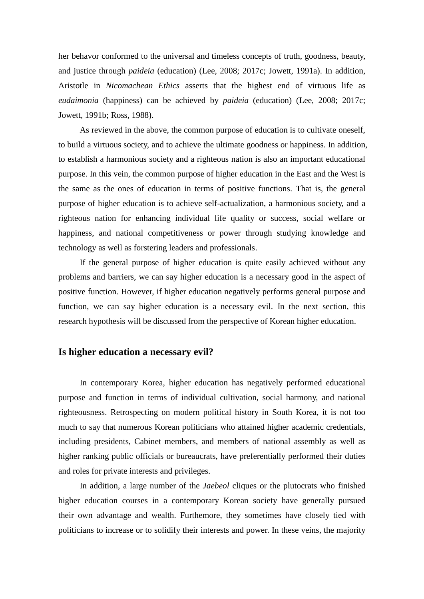her behavor conformed to the universal and timeless concepts of truth, goodness, beauty, and justice through *paideia* (education) (Lee, 2008; 2017c; Jowett, 1991a). In addition, Aristotle in *Nicomachean Ethics* asserts that the highest end of virtuous life as *eudaimonia* (happiness) can be achieved by *paideia* (education) (Lee, 2008; 2017c; Jowett, 1991b; Ross, 1988).

As reviewed in the above, the common purpose of education is to cultivate oneself, to build a virtuous society, and to achieve the ultimate goodness or happiness. In addition, to establish a harmonious society and a righteous nation is also an important educational purpose. In this vein, the common purpose of higher education in the East and the West is the same as the ones of education in terms of positive functions. That is, the general purpose of higher education is to achieve self-actualization, a harmonious society, and a righteous nation for enhancing individual life quality or success, social welfare or happiness, and national competitiveness or power through studying knowledge and technology as well as forstering leaders and professionals.

If the general purpose of higher education is quite easily achieved without any problems and barriers, we can say higher education is a necessary good in the aspect of positive function. However, if higher education negatively performs general purpose and function, we can say higher education is a necessary evil. In the next section, this research hypothesis will be discussed from the perspective of Korean higher education.

# **Is higher education a necessary evil?**

In contemporary Korea, higher education has negatively performed educational purpose and function in terms of individual cultivation, social harmony, and national righteousness. Retrospecting on modern political history in South Korea, it is not too much to say that numerous Korean politicians who attained higher academic credentials, including presidents, Cabinet members, and members of national assembly as well as higher ranking public officials or bureaucrats, have preferentially performed their duties and roles for private interests and privileges.

In addition, a large number of the *Jaebeol* cliques or the plutocrats who finished higher education courses in a contemporary Korean society have generally pursued their own advantage and wealth. Furthemore, they sometimes have closely tied with politicians to increase or to solidify their interests and power. In these veins, the majority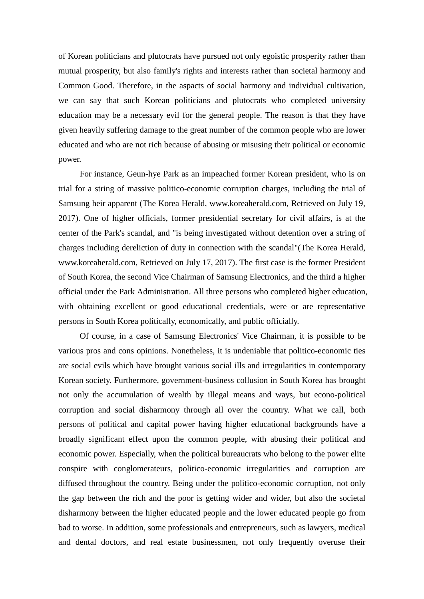of Korean politicians and plutocrats have pursued not only egoistic prosperity rather than mutual prosperity, but also family's rights and interests rather than societal harmony and Common Good. Therefore, in the aspacts of social harmony and individual cultivation, we can say that such Korean politicians and plutocrats who completed university education may be a necessary evil for the general people. The reason is that they have given heavily suffering damage to the great number of the common people who are lower educated and who are not rich because of abusing or misusing their political or economic power.

For instance, Geun-hye Park as an impeached former Korean president, who is on trial for a string of massive politico-economic corruption charges, including the trial of Samsung heir apparent (The Korea Herald, www.koreaherald.com, Retrieved on July 19, 2017). One of higher officials, former presidential secretary for civil affairs, is at the center of the Park's scandal, and "is being investigated without detention over a string of charges including dereliction of duty in connection with the scandal"(The Korea Herald, www.koreaherald.com, Retrieved on July 17, 2017). The first case is the former President of South Korea, the second Vice Chairman of Samsung Electronics, and the third a higher official under the Park Administration. All three persons who completed higher education, with obtaining excellent or good educational credentials, were or are representative persons in South Korea politically, economically, and public officially.

Of course, in a case of Samsung Electronics' Vice Chairman, it is possible to be various pros and cons opinions. Nonetheless, it is undeniable that politico-economic ties are social evils which have brought various social ills and irregularities in contemporary Korean society. Furthermore, government-business collusion in South Korea has brought not only the accumulation of wealth by illegal means and ways, but econo-political corruption and social disharmony through all over the country. What we call, both persons of political and capital power having higher educational backgrounds have a broadly significant effect upon the common people, with abusing their political and economic power. Especially, when the political bureaucrats who belong to the power elite conspire with conglomerateurs, politico-economic irregularities and corruption are diffused throughout the country. Being under the politico-economic corruption, not only the gap between the rich and the poor is getting wider and wider, but also the societal disharmony between the higher educated people and the lower educated people go from bad to worse. In addition, some professionals and entrepreneurs, such as lawyers, medical and dental doctors, and real estate businessmen, not only frequently overuse their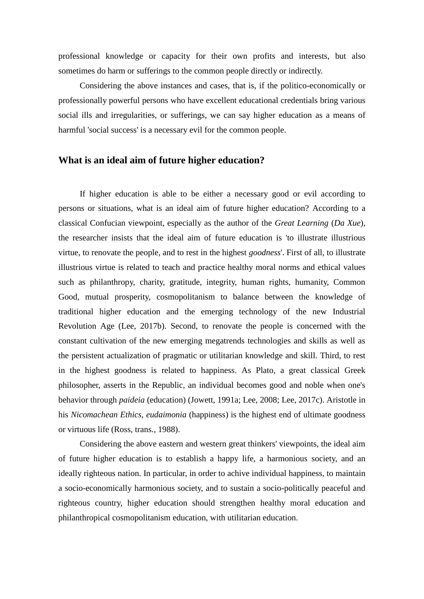professional knowledge or capacity for their own profits and interests, but also sometimes do harm or sufferings to the common people directly or indirectly.

Considering the above instances and cases, that is, if the politico-economically or professionally powerful persons who have excellent educational credentials bring various social ills and irregularities, or sufferings, we can say higher education as a means of harmful 'social success' is a necessary evil for the common people.

# **What is an ideal aim of future higher education?**

If higher education is able to be either a necessary good or evil according to persons or situations, what is an ideal aim of future higher education? According to a classical Confucian viewpoint, especially as the author of the *Great Learning* (*Da Xue*), the researcher insists that the ideal aim of future education is 'to illustrate illustrious virtue, to renovate the people, and to rest in the highest *goodness*'. First of all, to illustrate illustrious virtue is related to teach and practice healthy moral norms and ethical values such as philanthropy, charity, gratitude, integrity, human rights, humanity, Common Good, mutual prosperity, cosmopolitanism to balance between the knowledge of traditional higher education and the emerging technology of the new Industrial Revolution Age (Lee, 2017b). Second, to renovate the people is concerned with the constant cultivation of the new emerging megatrends technologies and skills as well as the persistent actualization of pragmatic or utilitarian knowledge and skill. Third, to rest in the highest goodness is related to happiness. As Plato, a great classical Greek philosopher, asserts in the Republic, an individual becomes good and noble when one's behavior through *paideia* (education) (Jowett, 1991a; Lee, 2008; Lee, 2017c). Aristotle in his *Nicomachean Ethics, eudaimonia* (happiness) is the highest end of ultimate goodness or virtuous life (Ross, trans., 1988).

Considering the above eastern and western great thinkers' viewpoints, the ideal aim of future higher education is to establish a happy life, a harmonious society, and an ideally righteous nation. In particular, in order to achive individual happiness, to maintain a socio-economically harmonious society, and to sustain a socio-politically peaceful and righteous country, higher education should strengthen healthy moral education and philanthropical cosmopolitanism education, with utilitarian education.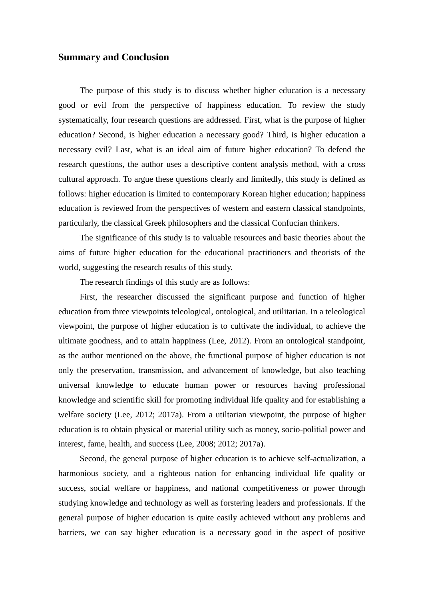## **Summary and Conclusion**

The purpose of this study is to discuss whether higher education is a necessary good or evil from the perspective of happiness education. To review the study systematically, four research questions are addressed. First, what is the purpose of higher education? Second, is higher education a necessary good? Third, is higher education a necessary evil? Last, what is an ideal aim of future higher education? To defend the research questions, the author uses a descriptive content analysis method, with a cross cultural approach. To argue these questions clearly and limitedly, this study is defined as follows: higher education is limited to contemporary Korean higher education; happiness education is reviewed from the perspectives of western and eastern classical standpoints, particularly, the classical Greek philosophers and the classical Confucian thinkers.

The significance of this study is to valuable resources and basic theories about the aims of future higher education for the educational practitioners and theorists of the world, suggesting the research results of this study.

The research findings of this study are as follows:

First, the researcher discussed the significant purpose and function of higher education from three viewpoints teleological, ontological, and utilitarian. In a teleological viewpoint, the purpose of higher education is to cultivate the individual, to achieve the ultimate goodness, and to attain happiness (Lee, 2012). From an ontological standpoint, as the author mentioned on the above, the functional purpose of higher education is not only the preservation, transmission, and advancement of knowledge, but also teaching universal knowledge to educate human power or resources having professional knowledge and scientific skill for promoting individual life quality and for establishing a welfare society (Lee, 2012; 2017a). From a utiltarian viewpoint, the purpose of higher education is to obtain physical or material utility such as money, socio-politial power and interest, fame, health, and success (Lee, 2008; 2012; 2017a).

Second, the general purpose of higher education is to achieve self-actualization, a harmonious society, and a righteous nation for enhancing individual life quality or success, social welfare or happiness, and national competitiveness or power through studying knowledge and technology as well as forstering leaders and professionals. If the general purpose of higher education is quite easily achieved without any problems and barriers, we can say higher education is a necessary good in the aspect of positive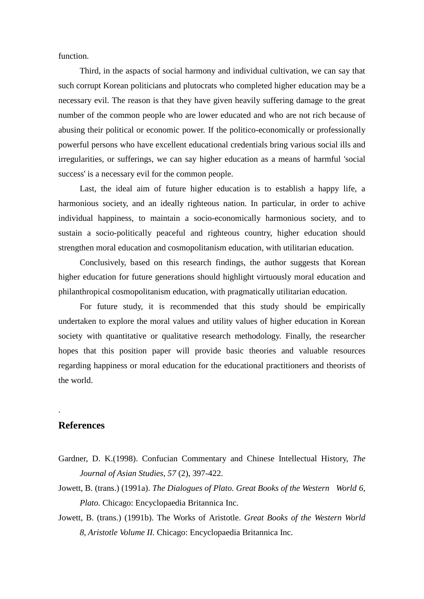function.

Third, in the aspacts of social harmony and individual cultivation, we can say that such corrupt Korean politicians and plutocrats who completed higher education may be a necessary evil. The reason is that they have given heavily suffering damage to the great number of the common people who are lower educated and who are not rich because of abusing their political or economic power. If the politico-economically or professionally powerful persons who have excellent educational credentials bring various social ills and irregularities, or sufferings, we can say higher education as a means of harmful 'social success' is a necessary evil for the common people.

Last, the ideal aim of future higher education is to establish a happy life, a harmonious society, and an ideally righteous nation. In particular, in order to achive individual happiness, to maintain a socio-economically harmonious society, and to sustain a socio-politically peaceful and righteous country, higher education should strengthen moral education and cosmopolitanism education, with utilitarian education.

Conclusively, based on this research findings, the author suggests that Korean higher education for future generations should highlight virtuously moral education and philanthropical cosmopolitanism education, with pragmatically utilitarian education.

For future study, it is recommended that this study should be empirically undertaken to explore the moral values and utility values of higher education in Korean society with quantitative or qualitative research methodology. Finally, the researcher hopes that this position paper will provide basic theories and valuable resources regarding happiness or moral education for the educational practitioners and theorists of the world.

# **References**

.

- Gardner, D. K.(1998). Confucian Commentary and Chinese Intellectual History, *The Journal of Asian Studies, 57* (2), 397-422.
- Jowett, B. (trans.) (1991a). *The Dialogues of Plato. Great Books of the Western World 6, Plato.* Chicago: Encyclopaedia Britannica Inc.
- Jowett, B. (trans.) (1991b). The Works of Aristotle. *Great Books of the Western World 8, Aristotle Volume II.* Chicago: Encyclopaedia Britannica Inc.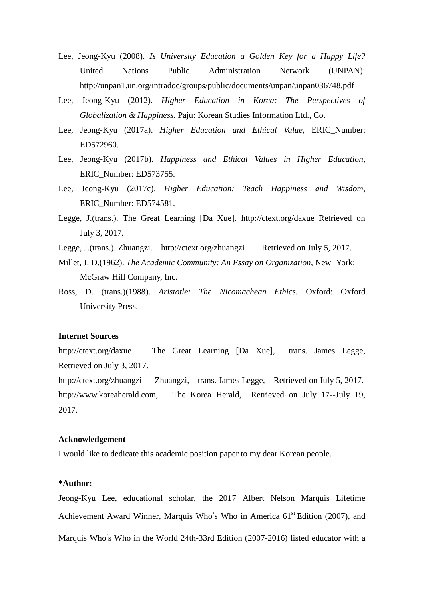- Lee, Jeong-Kyu (2008). *Is University Education a Golden Key for a Happy Life?*  United Nations Public Administration Network (UNPAN): http://unpan1.un.org/intradoc/groups/public/documents/unpan/unpan036748.pdf
- Lee, Jeong-Kyu (2012). *Higher Education in Korea: The Perspectives of Globalization & Happiness.* Paju: Korean Studies Information Ltd., Co.
- Lee, Jeong-Kyu (2017a). *Higher Education and Ethical Value,* ERIC\_Number: ED572960.
- Lee, Jeong-Kyu (2017b). *Happiness and Ethical Values in Higher Education*, ERIC\_Number: ED573755.
- Lee, Jeong-Kyu (2017c). *Higher Education: Teach Happiness and Wisdom,*  ERIC\_Number: ED574581.
- Legge, J.(trans.). The Great Learning [Da Xue]. http://ctext.org/daxue Retrieved on July 3, 2017.
- Legge, J.(trans.). Zhuangzi. http://ctext.org/zhuangzi Retrieved on July 5, 2017.
- Millet, J. D.(1962). *The Academic Community: An Essay on Organization,* New York: McGraw Hill Company, Inc.
- Ross, D. (trans.)(1988). *Aristotle: The Nicomachean Ethics.* Oxford: Oxford University Press.

#### **Internet Sources**

http://ctext.org/daxue The Great Learning [Da Xue], trans. James Legge, Retrieved on July 3, 2017.

http://ctext.org/zhuangzi Zhuangzi, trans. James Legge, Retrieved on July 5, 2017. http://www.koreaherald.com, The Korea Herald, Retrieved on July 17--July 19, 2017.

#### **Acknowledgement**

I would like to dedicate this academic position paper to my dear Korean people.

### **\*Author:**

Jeong-Kyu Lee, educational scholar, the 2017 Albert Nelson Marquis Lifetime Achievement Award Winner, Marquis Who's Who in America  $61<sup>st</sup>$  Edition (2007), and Marquis Who's Who in the World 24th-33rd Edition (2007-2016) listed educator with a